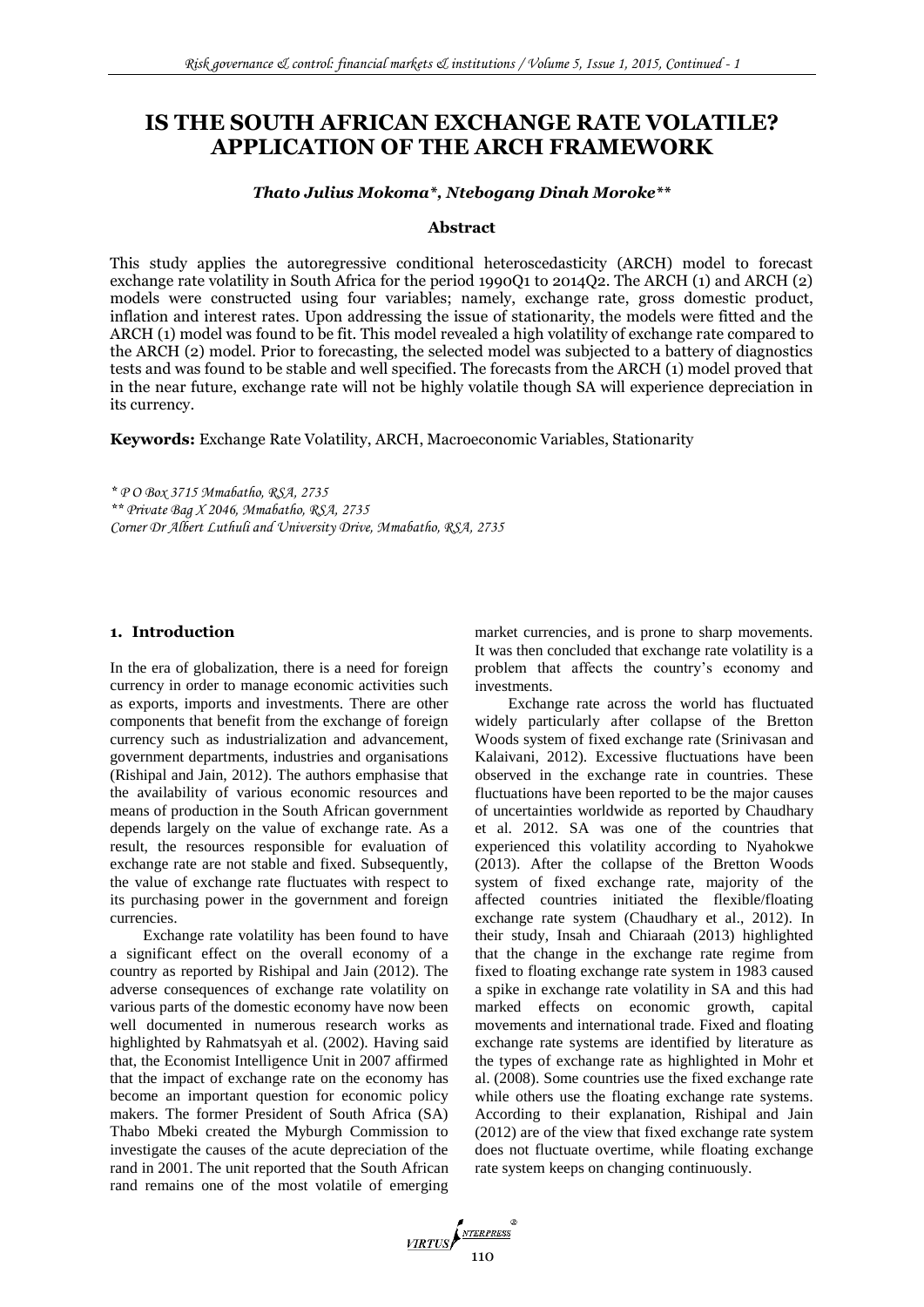# **IS THE SOUTH AFRICAN EXCHANGE RATE VOLATILE? APPLICATION OF THE ARCH FRAMEWORK**

### *Thato Julius Mokoma\*, Ntebogang Dinah Moroke\*\**

## **Abstract**

This study applies the autoregressive conditional heteroscedasticity (ARCH) model to forecast exchange rate volatility in South Africa for the period 1990Q1 to 2014Q2. The ARCH (1) and ARCH (2) models were constructed using four variables; namely, exchange rate, gross domestic product, inflation and interest rates. Upon addressing the issue of stationarity, the models were fitted and the ARCH (1) model was found to be fit. This model revealed a high volatility of exchange rate compared to the ARCH (2) model. Prior to forecasting, the selected model was subjected to a battery of diagnostics tests and was found to be stable and well specified. The forecasts from the ARCH (1) model proved that in the near future, exchange rate will not be highly volatile though SA will experience depreciation in its currency.

**Keywords:** Exchange Rate Volatility, ARCH, Macroeconomic Variables, Stationarity

*\* P O Box 3715 Mmabatho, RSA, 2735 \*\* Private Bag X 2046, Mmabatho, RSA, 2735 Corner Dr Albert Luthuli and University Drive, Mmabatho, RSA, 2735*

# **1. Introduction**

In the era of globalization, there is a need for foreign currency in order to manage economic activities such as exports, imports and investments. There are other components that benefit from the exchange of foreign currency such as industrialization and advancement, government departments, industries and organisations (Rishipal and Jain, 2012). The authors emphasise that the availability of various economic resources and means of production in the South African government depends largely on the value of exchange rate. As a result, the resources responsible for evaluation of exchange rate are not stable and fixed. Subsequently, the value of exchange rate fluctuates with respect to its purchasing power in the government and foreign currencies.

Exchange rate volatility has been found to have a significant effect on the overall economy of a country as reported by Rishipal and Jain (2012). The adverse consequences of exchange rate volatility on various parts of the domestic economy have now been well documented in numerous research works as highlighted by Rahmatsyah et al. (2002). Having said that, the Economist Intelligence Unit in 2007 affirmed that the impact of exchange rate on the economy has become an important question for economic policy makers. The former President of South Africa (SA) Thabo Mbeki created the Myburgh Commission to investigate the causes of the acute depreciation of the rand in 2001. The unit reported that the South African rand remains one of the most volatile of emerging market currencies, and is prone to sharp movements. It was then concluded that exchange rate volatility is a problem that affects the country's economy and investments.

Exchange rate across the world has fluctuated widely particularly after collapse of the Bretton Woods system of fixed exchange rate (Srinivasan and Kalaivani, 2012). Excessive fluctuations have been observed in the exchange rate in countries. These fluctuations have been reported to be the major causes of uncertainties worldwide as reported by Chaudhary et al. 2012. SA was one of the countries that experienced this volatility according to Nyahokwe (2013). After the collapse of the Bretton Woods system of fixed exchange rate, majority of the affected countries initiated the flexible/floating exchange rate system (Chaudhary et al., 2012). In their study, Insah and Chiaraah (2013) highlighted that the change in the exchange rate regime from fixed to floating exchange rate system in 1983 caused a spike in exchange rate volatility in SA and this had marked effects on economic growth, capital movements and international trade. Fixed and floating exchange rate systems are identified by literature as the types of exchange rate as highlighted in Mohr et al. (2008). Some countries use the fixed exchange rate while others use the floating exchange rate systems. According to their explanation, Rishipal and Jain (2012) are of the view that fixed exchange rate system does not fluctuate overtime, while floating exchange rate system keeps on changing continuously.

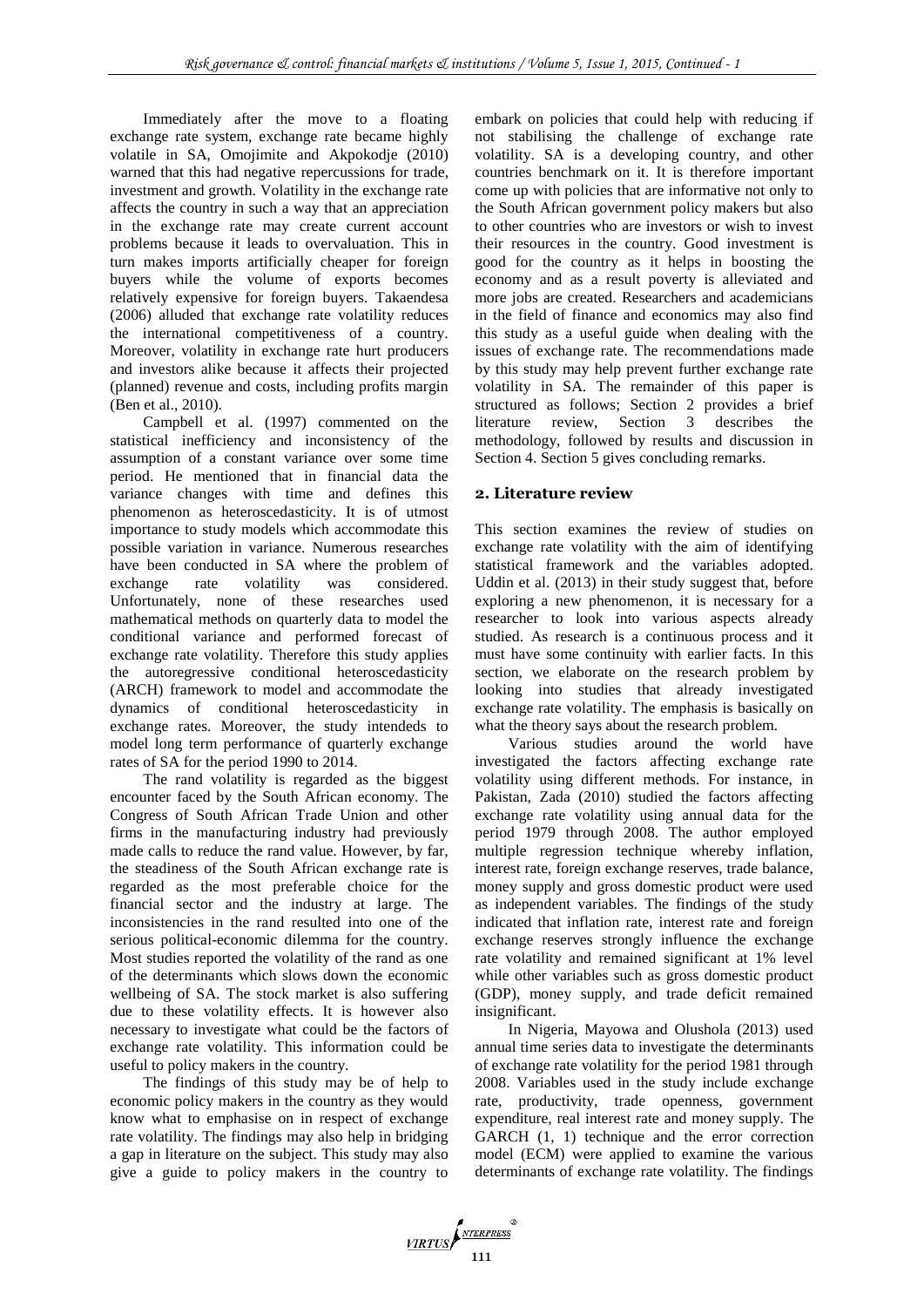Immediately after the move to a floating exchange rate system, exchange rate became highly volatile in SA, Omojimite and Akpokodje (2010) warned that this had negative repercussions for trade, investment and growth. Volatility in the exchange rate affects the country in such a way that an appreciation in the exchange rate may create current account problems because it leads to overvaluation. This in turn makes imports artificially cheaper for foreign buyers while the volume of exports becomes relatively expensive for foreign buyers. Takaendesa (2006) alluded that exchange rate volatility reduces the international competitiveness of a country. Moreover, volatility in exchange rate hurt producers and investors alike because it affects their projected (planned) revenue and costs, including profits margi[n](http://www.thefreelibrary.com/Obi%2c+Ben%3b+Wafure%3b+Gobna%2c+Obida%3b+Abu%3b+Nurudeen-a11650) [\(Ben et al., 2](http://www.thefreelibrary.com/Obi%2c+Ben%3b+Wafure%3b+Gobna%2c+Obida%3b+Abu%3b+Nurudeen-a11650)010).

Campbell et al. (1997) commented on the statistical inefficiency and inconsistency of the assumption of a constant variance over some time period. He mentioned that in financial data the variance changes with time and defines this phenomenon as heteroscedasticity. It is of utmost importance to study models which accommodate this possible variation in variance. Numerous researches have been conducted in SA where the problem of exchange rate volatility was considered. Unfortunately, none of these researches used mathematical methods on quarterly data to model the conditional variance and performed forecast of exchange rate volatility. Therefore this study applies the autoregressive conditional heteroscedasticity (ARCH) framework to model and accommodate the dynamics of conditional heteroscedasticity in exchange rates. Moreover, the study intendeds to model long term performance of quarterly exchange rates of SA for the period 1990 to 2014.

The rand volatility is regarded as the biggest encounter faced by the South African economy. The Congress of South African Trade Union and other firms in the manufacturing industry had previously made calls to reduce the rand value. However, by far, the steadiness of the South African exchange rate is regarded as the most preferable choice for the financial sector and the industry at large. The inconsistencies in the rand resulted into one of the serious political-economic dilemma for the country. Most studies reported the volatility of the rand as one of the determinants which slows down the economic wellbeing of SA. The stock market is also suffering due to these volatility effects. It is however also necessary to investigate what could be the factors of exchange rate volatility. This information could be useful to policy makers in the country.

The findings of this study may be of help to economic policy makers in the country as they would know what to emphasise on in respect of exchange rate volatility. The findings may also help in bridging a gap in literature on the subject. This study may also give a guide to policy makers in the country to embark on policies that could help with reducing if not stabilising the challenge of exchange rate volatility. SA is a developing country, and other countries benchmark on it. It is therefore important come up with policies that are informative not only to the South African government policy makers but also to other countries who are investors or wish to invest their resources in the country. Good investment is good for the country as it helps in boosting the economy and as a result poverty is alleviated and more jobs are created. Researchers and academicians in the field of finance and economics may also find this study as a useful guide when dealing with the issues of exchange rate. The recommendations made by this study may help prevent further exchange rate volatility in SA. The remainder of this paper is structured as follows; Section 2 provides a brief literature review, Section 3 describes the methodology, followed by results and discussion in Section 4. Section 5 gives concluding remarks.

# **2. Literature review**

This section examines the review of studies on exchange rate volatility with the aim of identifying statistical framework and the variables adopted. Uddin et al. (2013) in their study suggest that, before exploring a new phenomenon, it is necessary for a researcher to look into various aspects already studied. As research is a continuous process and it must have some continuity with earlier facts. In this section, we elaborate on the research problem by looking into studies that already investigated exchange rate volatility. The emphasis is basically on what the theory says about the research problem.

Various studies around the world have investigated the factors affecting exchange rate volatility using different methods. For instance, in Pakistan, Zada (2010) studied the factors affecting exchange rate volatility using annual data for the period 1979 through 2008. The author employed multiple regression technique whereby inflation, interest rate, foreign exchange reserves, trade balance, money supply and gross domestic product were used as independent variables. The findings of the study indicated that inflation rate, interest rate and foreign exchange reserves strongly influence the exchange rate volatility and remained significant at 1% level while other variables such as gross domestic product (GDP), money supply, and trade deficit remained insignificant.

In Nigeria, Mayowa and Olushola (2013) used annual time series data to investigate the determinants of exchange rate volatility for the period 1981 through 2008. Variables used in the study include exchange rate, productivity, trade openness, government expenditure, real interest rate and money supply. The GARCH (1, 1) technique and the error correction model (ECM) were applied to examine the various determinants of exchange rate volatility. The findings

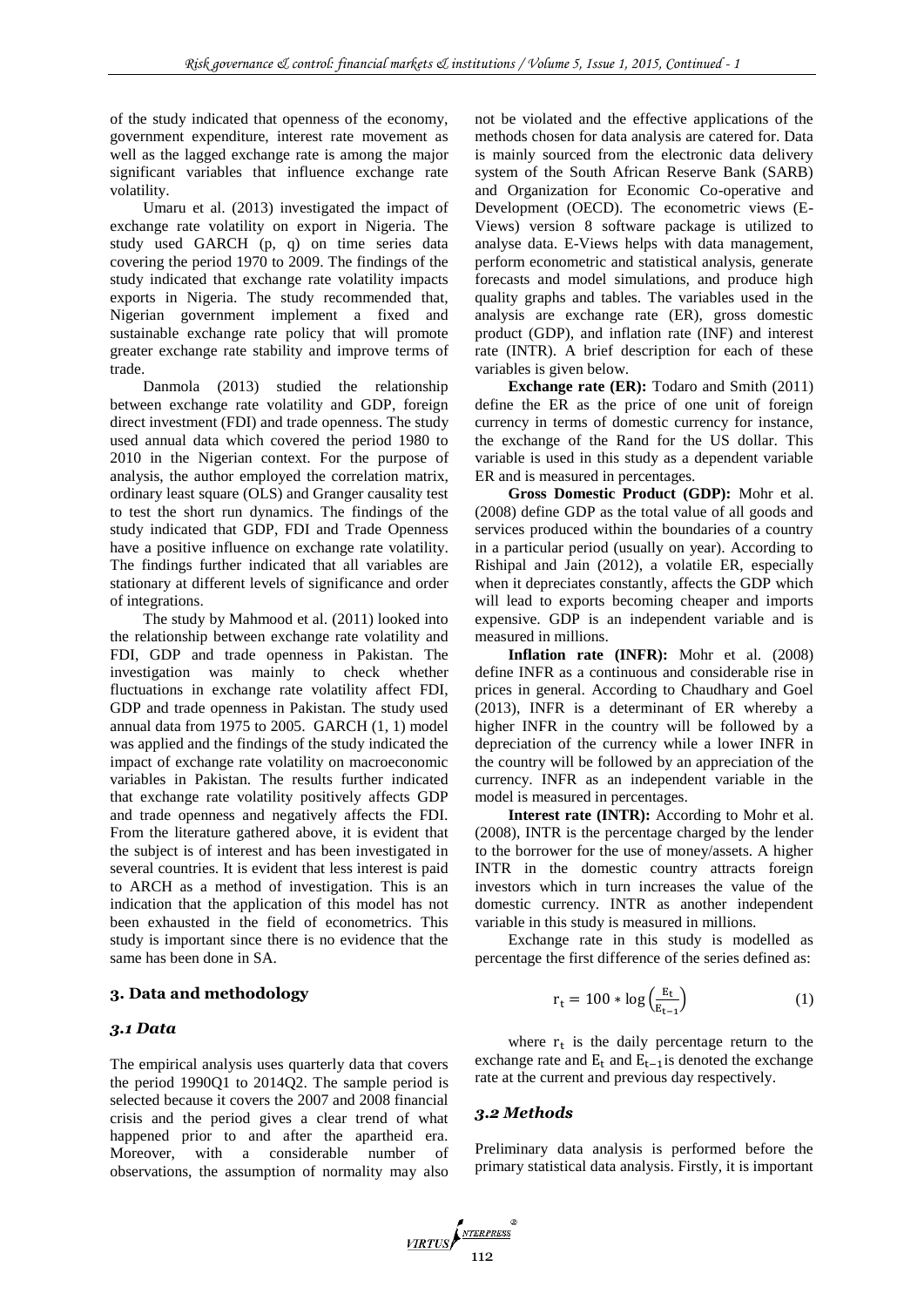of the study indicated that openness of the economy, government expenditure, interest rate movement as well as the lagged exchange rate is among the major significant variables that influence exchange rate volatility.

Umaru et al. (2013) investigated the impact of exchange rate volatility on export in Nigeria. The study used GARCH (p, q) on time series data covering the period 1970 to 2009. The findings of the study indicated that exchange rate volatility impacts exports in Nigeria. The study recommended that, Nigerian government implement a fixed and sustainable exchange rate policy that will promote greater exchange rate stability and improve terms of trade.

Danmola (2013) studied the relationship between exchange rate volatility and GDP, foreign direct investment (FDI) and trade openness. The study used annual data which covered the period 1980 to 2010 in the Nigerian context. For the purpose of analysis, the author employed the correlation matrix, ordinary least square (OLS) and Granger causality test to test the short run dynamics. The findings of the study indicated that GDP, FDI and Trade Openness have a positive influence on exchange rate volatility. The findings further indicated that all variables are stationary at different levels of significance and order of integrations.

The study by Mahmood et al. (2011) looked into the relationship between exchange rate volatility and FDI, GDP and trade openness in Pakistan. The investigation was mainly to check whether fluctuations in exchange rate volatility affect FDI, GDP and trade openness in Pakistan. The study used annual data from 1975 to 2005. GARCH (1, 1) model was applied and the findings of the study indicated the impact of exchange rate volatility on macroeconomic variables in Pakistan. The results further indicated that exchange rate volatility positively affects GDP and trade openness and negatively affects the FDI. From the literature gathered above, it is evident that the subject is of interest and has been investigated in several countries. It is evident that less interest is paid to ARCH as a method of investigation. This is an indication that the application of this model has not been exhausted in the field of econometrics. This study is important since there is no evidence that the same has been done in SA.

### **3. Data and methodology**

### *3.1 Data*

The empirical analysis uses quarterly data that covers the period 1990Q1 to 2014Q2. The sample period is selected because it covers the 2007 and 2008 financial crisis and the period gives a clear trend of what happened prior to and after the apartheid era. Moreover, with a considerable number of observations, the assumption of normality may also not be violated and the effective applications of the methods chosen for data analysis are catered for. Data is mainly sourced from the electronic data delivery system of the South African Reserve Bank (SARB) and Organization for Economic Co-operative and Development (OECD). The econometric views (E-Views) version 8 software package is utilized to analyse data. E-Views helps with data management, perform econometric and statistical analysis, generate forecasts and model simulations, and produce high quality graphs and tables. The variables used in the analysis are exchange rate (ER), gross domestic product (GDP), and inflation rate (INF) and interest rate (INTR). A brief description for each of these variables is given below.

**Exchange rate (ER):** Todaro and Smith (2011) define the ER as the price of one unit of foreign currency in terms of domestic currency for instance, the exchange of the Rand for the US dollar. This variable is used in this study as a dependent variable ER and is measured in percentages.

**Gross Domestic Product (GDP):** Mohr et al. (2008) define GDP as the total value of all goods and services produced within the boundaries of a country in a particular period (usually on year). According to Rishipal and Jain (2012), a volatile ER, especially when it depreciates constantly, affects the GDP which will lead to exports becoming cheaper and imports expensive. GDP is an independent variable and is measured in millions.

**Inflation rate (INFR):** Mohr et al. (2008) define INFR as a continuous and considerable rise in prices in general. According to Chaudhary and Goel (2013), INFR is a determinant of ER whereby a higher INFR in the country will be followed by a depreciation of the currency while a lower INFR in the country will be followed by an appreciation of the currency. INFR as an independent variable in the model is measured in percentages.

**Interest rate (INTR):** According to Mohr et al. (2008), INTR is the percentage charged by the lender to the borrower for the use of money/assets. A higher INTR in the domestic country attracts foreign investors which in turn increases the value of the domestic currency. INTR as another independent variable in this study is measured in millions.

Exchange rate in this study is modelled as percentage the first difference of the series defined as:

$$
r_t = 100 * \log\left(\frac{E_t}{E_{t-1}}\right) \tag{1}
$$

where  $r_t$  is the daily percentage return to the exchange rate and  $E_t$  and  $E_{t-1}$  is denoted the exchange rate at the current and previous day respectively.

#### *3.2 Methods*

Preliminary data analysis is performed before the primary statistical data analysis. Firstly, it is important

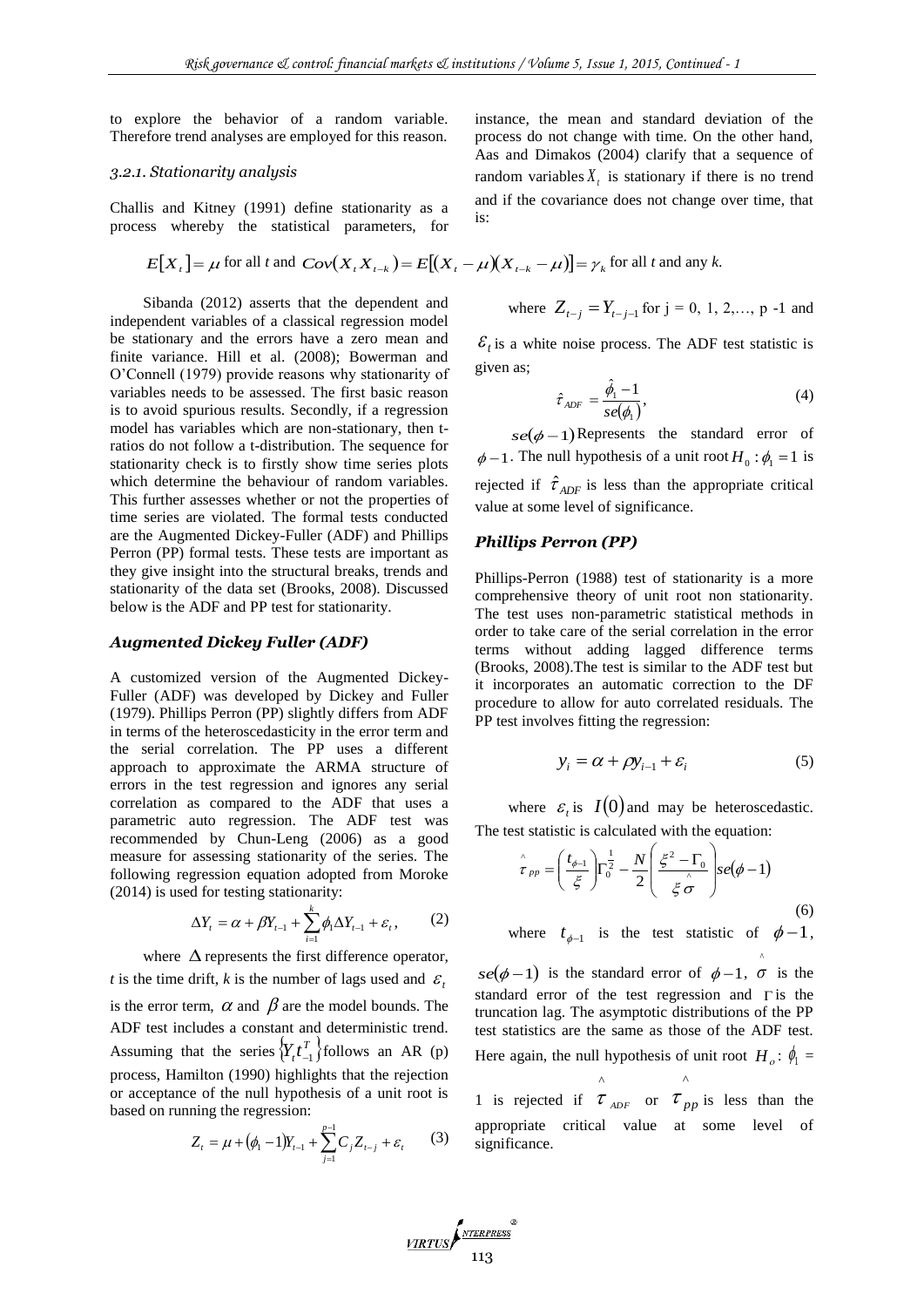to explore the behavior of a random variable. Therefore trend analyses are employed for this reason.

### *3.2.1. Stationarity analysis*

Challis and Kitney (1991) define stationarity as a process whereby the statistical parameters, for

$$
E[X_t] = \mu \text{ for all } t \text{ and } Cov(X_t X_{t-k}) = E[(X_t - \mu)(X_{t-k} - \mu)] = \gamma_k \text{ for all } t \text{ and any } k.
$$

Sibanda (2012) asserts that the dependent and independent variables of a classical regression model be stationary and the errors have a zero mean and finite variance. Hill et al. (2008); Bowerman and O'Connell (1979) provide reasons why stationarity of variables needs to be assessed. The first basic reason is to avoid spurious results. Secondly, if a regression model has variables which are non-stationary, then tratios do not follow a t-distribution. The sequence for stationarity check is to firstly show time series plots which determine the behaviour of random variables. This further assesses whether or not the properties of time series are violated. The formal tests conducted are the Augmented Dickey-Fuller (ADF) and Phillips Perron (PP) formal tests. These tests are important as they give insight into the structural breaks, trends and stationarity of the data set (Brooks, 2008). Discussed below is the ADF and PP test for stationarity.

#### *Augmented Dickey Fuller (ADF)*

A customized version of the Augmented Dickey-Fuller (ADF) was developed by Dickey and Fuller (1979). Phillips Perron (PP) slightly differs from ADF in terms of the heteroscedasticity in the error term and the serial correlation. The PP uses a different approach to approximate the ARMA structure of errors in the test regression and ignores any serial correlation as compared to the ADF that uses a parametric auto regression. The ADF test was recommended by Chun-Leng (2006) as a good measure for assessing stationarity of the series. The following regression equation adopted from Moroke (2014) is used for testing stationarity:

$$
\Delta Y_t = \alpha + \beta Y_{t-1} + \sum_{i=1}^k \phi_i \Delta Y_{t-1} + \varepsilon_t, \qquad (2)
$$

where  $\Delta$  represents the first difference operator, *t* is the time drift, *k* is the number of lags used and  $\varepsilon$ is the error term,  $\alpha$  and  $\beta$  are the model bounds. The ADF test includes a constant and deterministic trend. Assuming that the series  $\left\{ Y_t t_{-1}^T \right\}$  follows an AR (p) process, Hamilton (1990) highlights that the rejection or acceptance of the null hypothesis of a unit root is based on running the regression:

$$
Z_{t} = \mu + (\phi_{1} - 1)Y_{t-1} + \sum_{j=1}^{p-1} C_{j}Z_{t-j} + \varepsilon_{t}
$$
 (3)

instance, the mean and standard deviation of the process do not change with time. On the other hand, Aas and Dimakos (2004) clarify that a sequence of random variables  $X_t$  is stationary if there is no trend and if the covariance does not change over time, that is:

where 
$$
Z_{t-j} = Y_{t-j-1}
$$
 for  $j = 0, 1, 2, \ldots, p-1$  and

 $\mathcal{E}_t$  is a white noise process. The ADF test statistic is given as;

$$
\hat{\tau}_{ADF} = \frac{\hat{\phi}_1 - 1}{se(\phi_1)},\tag{4}
$$

 $se(\phi - 1)$ Represents the standard error of  $\phi$  – 1. The null hypothesis of a unit root  $H_0: \phi_1 = 1$  is rejected if  $\hat{\tau}_{ADF}$  is less than the appropriate critical value at some level of significance.

# *Phillips Perron (PP)*

Phillips-Perron (1988) test of stationarity is a more comprehensive theory of unit root non stationarity. The test uses non-parametric statistical methods in order to take care of the serial correlation in the error terms without adding lagged difference terms (Brooks, 2008).The test is similar to the ADF test but it incorporates an automatic correction to the DF procedure to allow for auto correlated residuals. The PP test involves fitting the regression:

$$
y_i = \alpha + \rho y_{i-1} + \varepsilon_i \tag{5}
$$

where  $\varepsilon_i$  is  $I(0)$  and may be heteroscedastic. The test statistic is calculated with the equation:

$$
\hat{\tau}_{pp} = \left(\frac{t_{\phi-1}}{\xi}\right) \Gamma_0^{\frac{1}{2}} - \frac{N}{2} \left(\frac{\xi^2 - \Gamma_0}{\xi \hat{\sigma}}\right) se(\phi - 1)
$$
\n(6)

where  $t_{\phi-1}$  is the test statistic of  $\phi-1$ ,

 $se(\phi-1)$  is the standard error of  $\phi-1$ ,  $\sigma$  is the  $\lambda$ standard error of the test regression and  $\Gamma$  is the truncation lag. The asymptotic distributions of the PP test statistics are the same as those of the ADF test. Here again, the null hypothesis of unit root  $H_o$ :  $\phi_1$  = ^ ^

1 is rejected if  $\tau$ <sub>ADF</sub>  $\tau$ <sub>ADF</sub> or  $\tau_{pp}$  is less than the appropriate critical value at some level of significance.

$$
\underbrace{\textit{VIRTUS}}_{113}
$$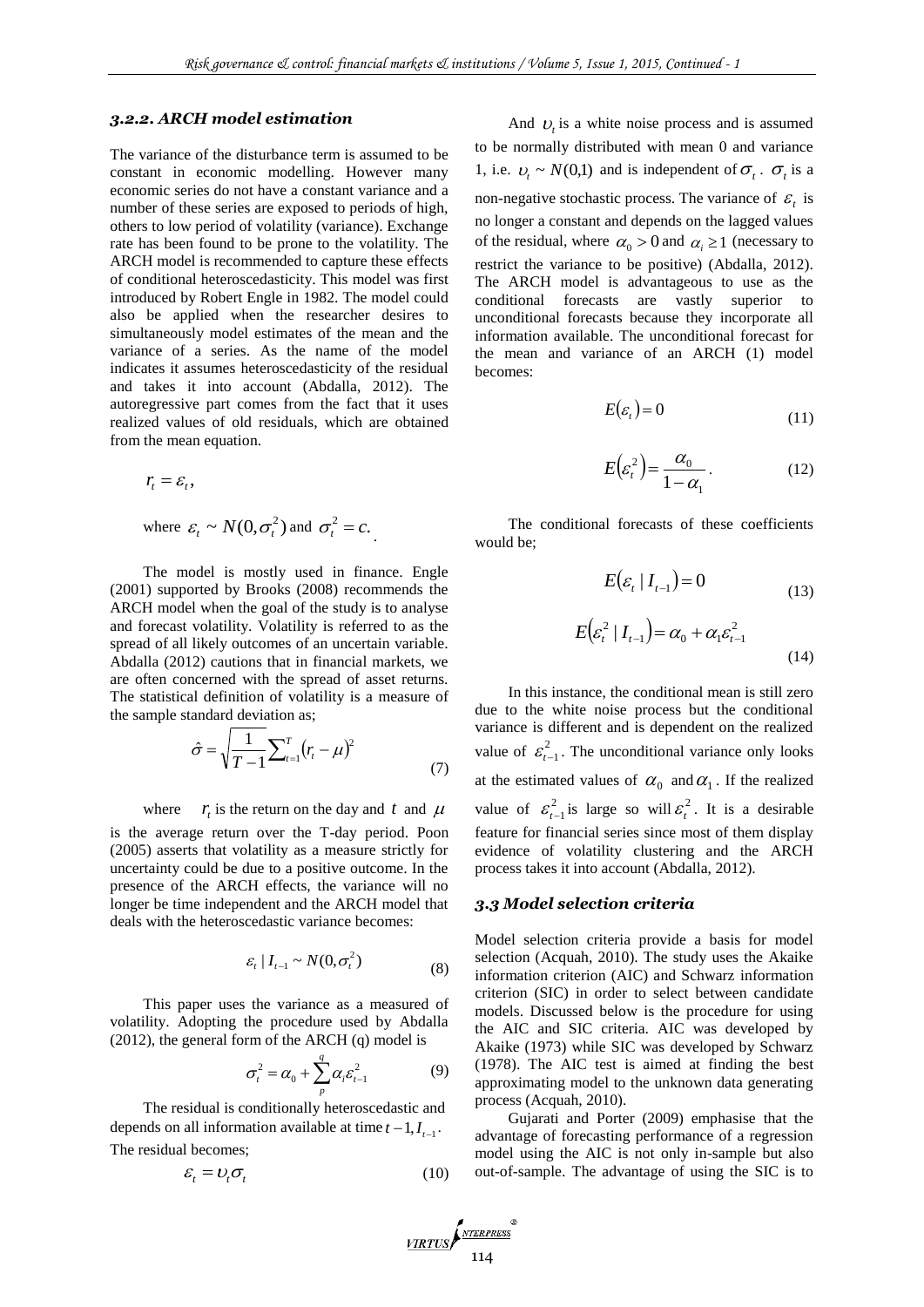#### *3.2.2. ARCH model estimation*

The variance of the disturbance term is assumed to be constant in economic modelling. However many economic series do not have a constant variance and a number of these series are exposed to periods of high, others to low period of volatility (variance). Exchange rate has been found to be prone to the volatility. The ARCH model is recommended to capture these effects of conditional heteroscedasticity. This model was first introduced by Robert Engle in 1982. The model could also be applied when the researcher desires to simultaneously model estimates of the mean and the variance of a series. As the name of the model indicates it assumes heteroscedasticity of the residual and takes it into account (Abdalla, 2012). The autoregressive part comes from the fact that it uses realized values of old residuals, which are obtained from the mean equation.

$$
r_t = \varepsilon_t
$$
,  
where  $\varepsilon_t \sim N(0, \sigma_t^2)$  and  $\sigma_t^2 = c$ .

The model is mostly used in finance. Engle (2001) supported by Brooks (2008) recommends the ARCH model when the goal of the study is to analyse and forecast volatility. Volatility is referred to as the spread of all likely outcomes of an uncertain variable. Abdalla (2012) cautions that in financial markets, we are often concerned with the spread of asset returns. The statistical definition of volatility is a measure of the sample standard deviation as;

$$
\hat{\sigma} = \sqrt{\frac{1}{T - 1} \sum_{t=1}^{T} (r_t - \mu)^2}
$$
\n(7)

where  $r_t$  is the return on the day and t and  $\mu$ 

is the average return over the T-day period. Poon (2005) asserts that volatility as a measure strictly for uncertainty could be due to a positive outcome. In the presence of the ARCH effects, the variance will no longer be time independent and the ARCH model that deals with the heteroscedastic variance becomes:

$$
\varepsilon_t | I_{t-1} \sim N(0, \sigma_t^2)
$$
\n(8)

This paper uses the variance as a measured of volatility. Adopting the procedure used by Abdalla (2012), the general form of the ARCH (q) model is

$$
\sigma_t^2 = \alpha_0 + \sum_p^q \alpha_i \varepsilon_{t-1}^2 \tag{9}
$$

The residual is conditionally heteroscedastic and depends on all information available at time  $t - 1, I_{t-1}$ . The residual becomes;

$$
\mathcal{E}_t = U_t \sigma_t \tag{10}
$$

And  $U_t$  is a white noise process and is assumed to be normally distributed with mean 0 and variance 1, i.e.  $v_t \sim N(0,1)$  and is independent of  $\sigma_t$ .  $\sigma_t$  is a non-negative stochastic process. The variance of  $\varepsilon$ <sub>t</sub> is no longer a constant and depends on the lagged values of the residual, where  $\alpha_0 > 0$  and  $\alpha_i \ge 1$  (necessary to restrict the variance to be positive) (Abdalla, 2012). The ARCH model is advantageous to use as the conditional forecasts are vastly superior to unconditional forecasts because they incorporate all information available. The unconditional forecast for the mean and variance of an ARCH (1) model becomes:

$$
E(\varepsilon_t) = 0 \tag{11}
$$

$$
E(\varepsilon_i^2) = \frac{\alpha_0}{1 - \alpha_1}.
$$
 (12)

The conditional forecasts of these coefficients would be;

$$
E(\varepsilon_{t} | I_{t-1}) = 0
$$
\n
$$
E(\varepsilon_{t}^{2} | I_{t-1}) = \alpha_{0} + \alpha_{1} \varepsilon_{t-1}^{2}
$$
\n
$$
(14)
$$

In this instance, the conditional mean is still zero due to the white noise process but the conditional variance is different and is dependent on the realized value of  $\varepsilon_t^2$  $\varepsilon_{t-1}^2$ . The unconditional variance only looks at the estimated values of  $\alpha_0$  and  $\alpha_1$ . If the realized value of  $\varepsilon_t^2$  $\varepsilon_{t-1}^2$  is large so will  $\varepsilon_t^2$  $\varepsilon_t^2$ . It is a desirable feature for financial series since most of them display evidence of volatility clustering and the ARCH process takes it into account (Abdalla, 2012).

#### *3.3 Model selection criteria*

Model selection criteria provide a basis for model selection (Acquah, 2010). The study uses the Akaike information criterion (AIC) and Schwarz information criterion (SIC) in order to select between candidate models. Discussed below is the procedure for using the AIC and SIC criteria. AIC was developed by Akaike (1973) while SIC was developed by Schwarz (1978). The AIC test is aimed at finding the best approximating model to the unknown data generating process (Acquah, 2010).

Gujarati and Porter (2009) emphasise that the advantage of forecasting performance of a regression model using the AIC is not only in-sample but also out-of-sample. The advantage of using the SIC is to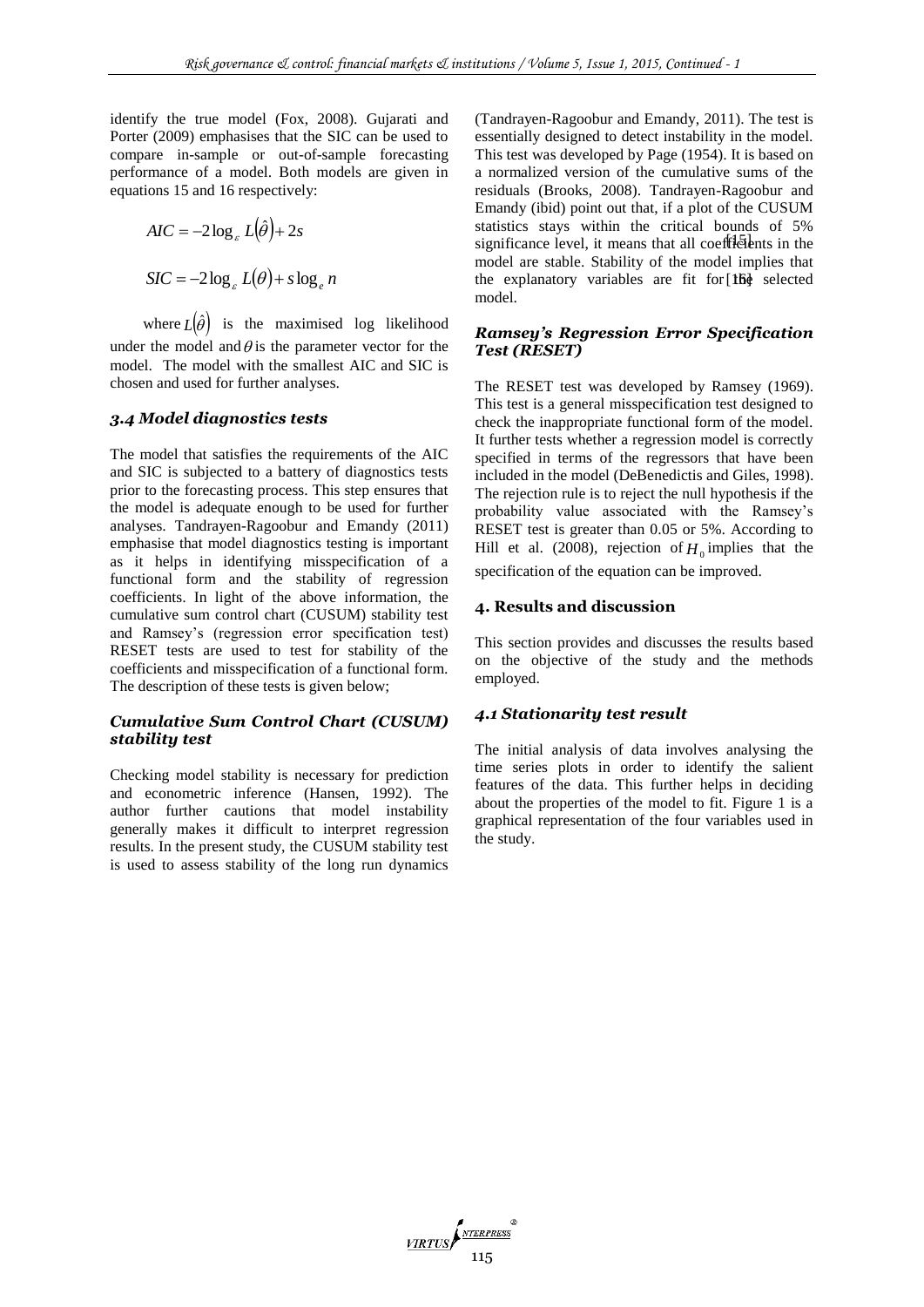identify the true model (Fox, 2008). Gujarati and Porter (2009) emphasises that the SIC can be used to compare in-sample or out-of-sample forecasting performance of a model. Both models are given in equations 15 and 16 respectively:

$$
AIC = -2\log_{\varepsilon} L(\hat{\theta}) + 2s
$$

$$
SIC = -2\log_{\varepsilon} L(\theta) + s\log_{\varepsilon} n
$$

where  $L(\hat{\theta})$  is the maximised log likelihood under the model and  $\theta$  is the parameter vector for the model. The model with the smallest AIC and SIC is chosen and used for further analyses.

# *3.4 Model diagnostics tests*

The model that satisfies the requirements of the AIC and SIC is subjected to a battery of diagnostics tests prior to the forecasting process. This step ensures that the model is adequate enough to be used for further analyses. Tandrayen-Ragoobur and Emandy (2011) emphasise that model diagnostics testing is important as it helps in identifying misspecification of a functional form and the stability of regression coefficients. In light of the above information, the cumulative sum control chart (CUSUM) stability test and Ramsey's (regression error specification test) RESET tests are used to test for stability of the coefficients and misspecification of a functional form. The description of these tests is given below;

# *Cumulative Sum Control Chart (CUSUM) stability test*

Checking model stability is necessary for prediction and econometric inference (Hansen, 1992). The author further cautions that model instability generally makes it difficult to interpret regression results. In the present study, the CUSUM stability test is used to assess stability of the long run dynamics

significance level, it means that all coefficients in the the explanatory variables are fit for [lbid] selected (Tandrayen-Ragoobur and Emandy, 2011). The test is essentially designed to detect instability in the model. This test was developed by Page (1954). It is based on a normalized version of the cumulative sums of the residuals (Brooks, 2008). Tandrayen-Ragoobur and Emandy (ibid) point out that, if a plot of the CUSUM statistics stays within the critical bounds of 5% model are stable. Stability of the model implies that model.

# *Ramsey's Regression Error Specification Test (RESET)*

The RESET test was developed by Ramsey (1969). This test is a general misspecification test designed to check the inappropriate functional form of the model. It further tests whether a regression model is correctly specified in terms of the regressors that have been included in the model (DeBenedictis and Giles, 1998). The rejection rule is to reject the null hypothesis if the probability value associated with the Ramsey's RESET test is greater than 0.05 or 5%. According to Hill et al. (2008), rejection of  $H_0$  implies that the specification of the equation can be improved.

# **4. Results and discussion**

This section provides and discusses the results based on the objective of the study and the methods employed.

# *4.1 Stationarity test result*

The initial analysis of data involves analysing the time series plots in order to identify the salient features of the data. This further helps in deciding about the properties of the model to fit. Figure 1 is a graphical representation of the four variables used in the study.

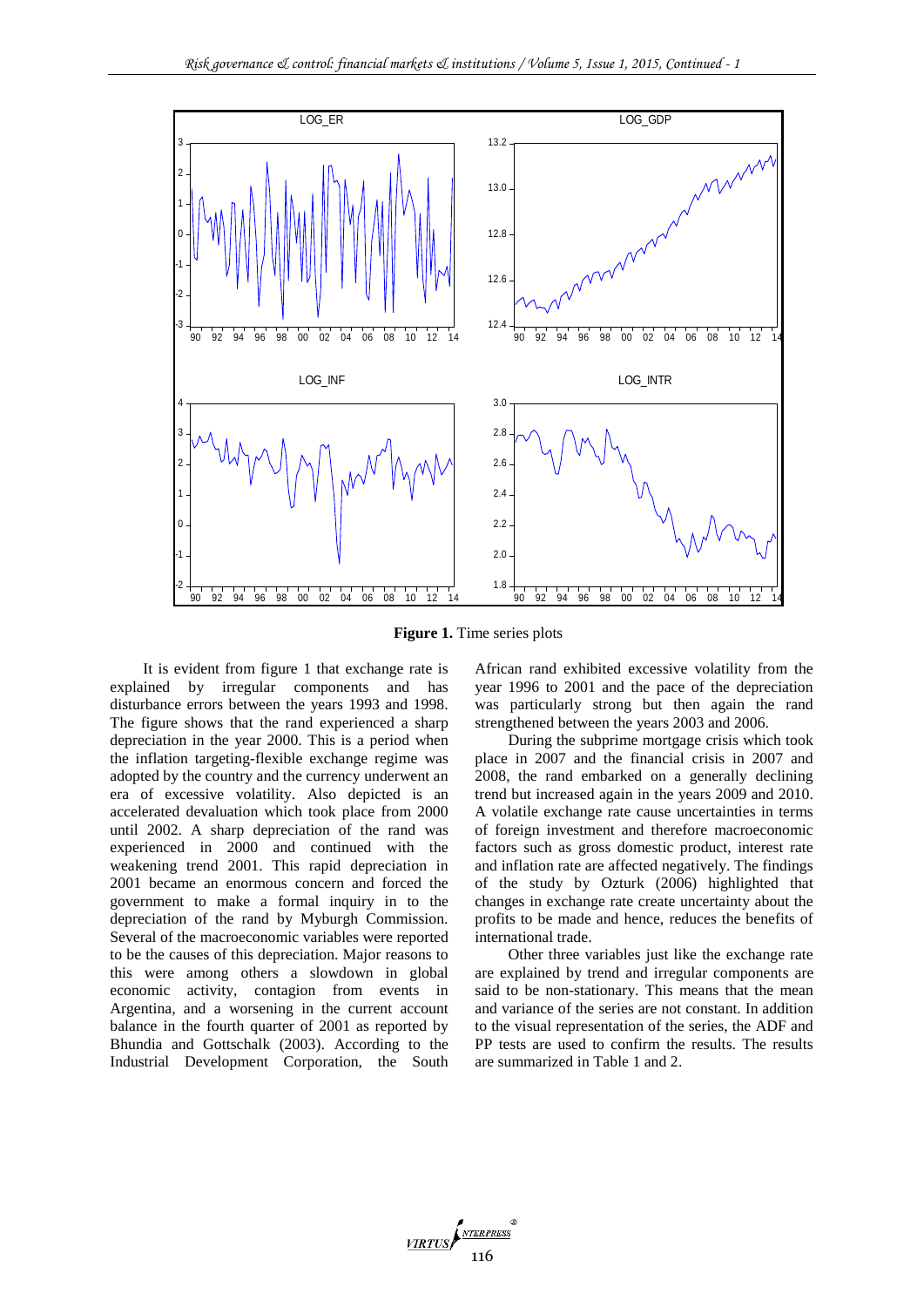

**Figure 1.** Time series plots

VIRTUS 116

It is evident from figure 1 that exchange rate is explained by irregular components and has disturbance errors between the years 1993 and 1998. The figure shows that the rand experienced a sharp depreciation in the year 2000. This is a period when the inflation targeting-flexible exchange regime was adopted by the country and the currency underwent an era of excessive volatility. Also depicted is an accelerated devaluation which took place from 2000 until 2002. A sharp depreciation of the rand was experienced in 2000 and continued with the weakening trend 2001. This rapid depreciation in 2001 became an enormous concern and forced the government to make a formal inquiry in to the depreciation of the rand by Myburgh Commission. Several of the macroeconomic variables were reported to be the causes of this depreciation. Major reasons to this were among others a slowdown in global economic activity, contagion from events in Argentina, and a worsening in the current account balance in the fourth quarter of 2001 as reported by Bhundia and Gottschalk (2003). According to the Industrial Development Corporation, the South

African rand exhibited excessive volatility from the year 1996 to 2001 and the pace of the depreciation was particularly strong but then again the rand strengthened between the years 2003 and 2006.

During the subprime mortgage crisis which took place in 2007 and the financial crisis in 2007 and 2008, the rand embarked on a generally declining trend but increased again in the years 2009 and 2010. A volatile exchange rate cause uncertainties in terms of foreign investment and therefore macroeconomic factors such as gross domestic product, interest rate and inflation rate are affected negatively. The findings of the study by Ozturk (2006) highlighted that changes in exchange rate create uncertainty about the profits to be made and hence, reduces the benefits of international trade.

Other three variables just like the exchange rate are explained by trend and irregular components are said to be non-stationary. This means that the mean and variance of the series are not constant. In addition to the visual representation of the series, the ADF and PP tests are used to confirm the results. The results are summarized in Table 1 and 2.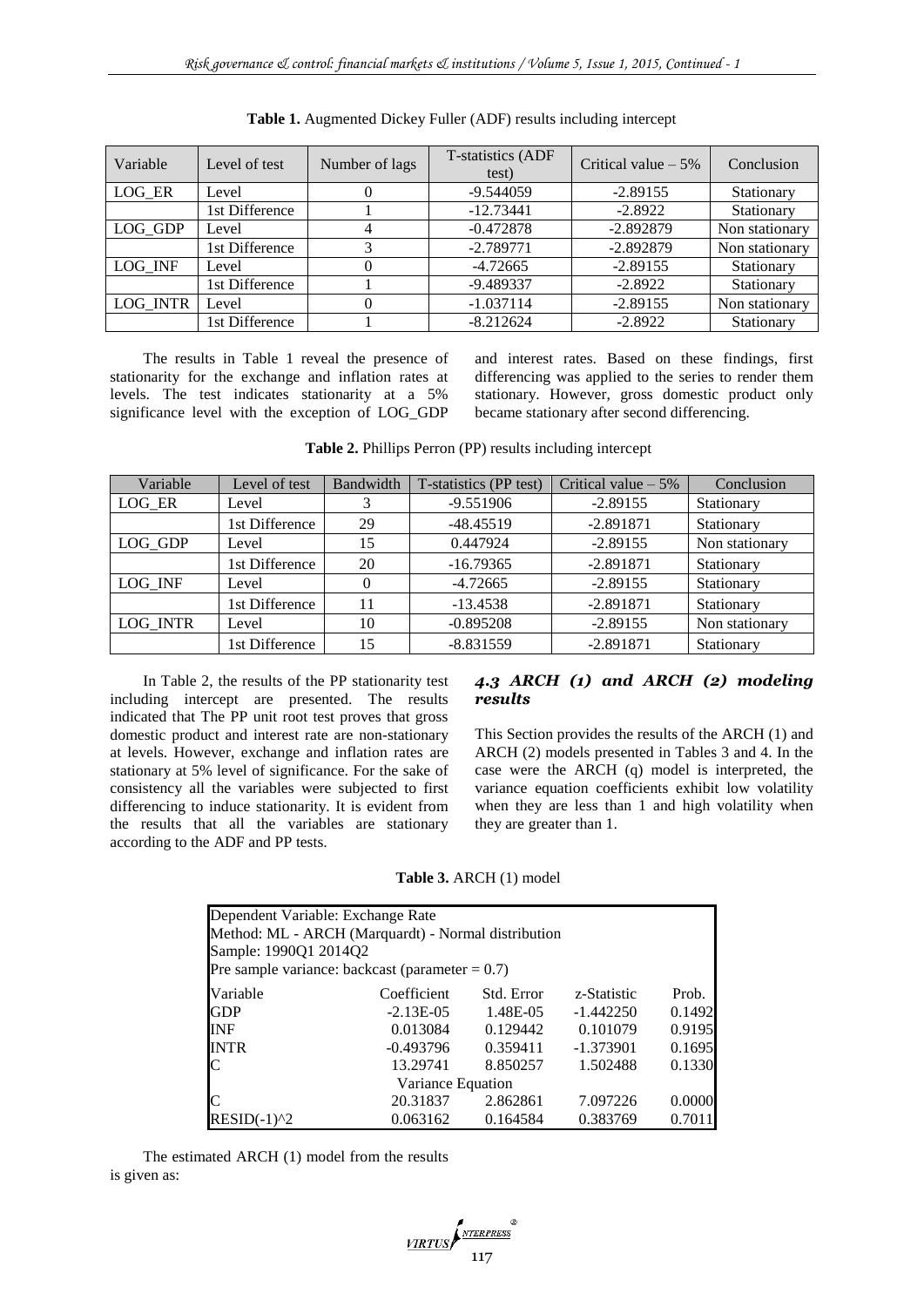| Variable | Level of test  | Number of lags | T-statistics (ADF<br>test) | Critical value $-5\%$ | Conclusion     |
|----------|----------------|----------------|----------------------------|-----------------------|----------------|
| LOG ER   | Level          |                | $-9.544059$                | $-2.89155$            | Stationary     |
|          | 1st Difference |                | $-12.73441$                | $-2.8922$             | Stationary     |
| LOG GDP  | Level          |                | $-0.472878$                | $-2.892879$           | Non stationary |
|          | 1st Difference |                | $-2.789771$                | $-2.892879$           | Non stationary |
| LOG INF  | Level          |                | $-4.72665$                 | $-2.89155$            | Stationary     |
|          | 1st Difference |                | -9.489337                  | $-2.8922$             | Stationary     |
| LOG INTR | Level          |                | $-1.037114$                | $-2.89155$            | Non stationary |
|          | 1st Difference |                | $-8.212624$                | $-2.8922$             | Stationary     |

**Table 1.** Augmented Dickey Fuller (ADF) results including intercept

The results in Table 1 reveal the presence of stationarity for the exchange and inflation rates at levels. The test indicates stationarity at a 5% significance level with the exception of LOG\_GDP and interest rates. Based on these findings, first differencing was applied to the series to render them stationary. However, gross domestic product only became stationary after second differencing.

| Variable | Level of test  | Bandwidth | T-statistics (PP test) | Critical value $-5\%$ | Conclusion     |
|----------|----------------|-----------|------------------------|-----------------------|----------------|
| LOG ER   | Level          |           | $-9.551906$            | $-2.89155$            | Stationary     |
|          | 1st Difference | 29        | $-48.45519$            | $-2.891871$           | Stationary     |
| LOG GDP  | Level          | 15        | 0.447924               | $-2.89155$            | Non stationary |
|          | 1st Difference | 20        | $-16.79365$            | $-2.891871$           | Stationary     |
| LOG INF  | Level          |           | $-4.72665$             | $-2.89155$            | Stationary     |
|          | 1st Difference | 11        | $-13.4538$             | $-2.891871$           | Stationary     |
| LOG INTR | Level          | 10        | $-0.895208$            | $-2.89155$            | Non stationary |
|          | 1st Difference | 15        | $-8.831559$            | $-2.891871$           | Stationary     |

**Table 2.** Phillips Perron (PP) results including intercept

In Table 2, the results of the PP stationarity test including intercept are presented. The results indicated that The PP unit root test proves that gross domestic product and interest rate are non-stationary at levels. However, exchange and inflation rates are stationary at 5% level of significance. For the sake of consistency all the variables were subjected to first differencing to induce stationarity. It is evident from the results that all the variables are stationary according to the ADF and PP tests.

### *4.3 ARCH (1) and ARCH (2) modeling results*

This Section provides the results of the ARCH (1) and ARCH (2) models presented in Tables 3 and 4. In the case were the ARCH (q) model is interpreted, the variance equation coefficients exhibit low volatility when they are less than 1 and high volatility when they are greater than 1.

**Table 3.** ARCH (1) model

| Dependent Variable: Exchange Rate                   |                   |            |             |        |
|-----------------------------------------------------|-------------------|------------|-------------|--------|
| Method: ML - ARCH (Marquardt) - Normal distribution |                   |            |             |        |
| Sample: 1990Q1 2014Q2                               |                   |            |             |        |
| Pre sample variance: backcast (parameter = $0.7$ )  |                   |            |             |        |
| Variable                                            | Coefficient       | Std. Error | z-Statistic | Prob.  |
| <b>GDP</b>                                          | $-2.13E-05$       | 1.48E-05   | $-1.442250$ | 0.1492 |
| INF                                                 | 0.013084          | 0.129442   | 0.101079    | 0.9195 |
| <b>INTR</b>                                         | $-0.493796$       | 0.359411   | $-1.373901$ | 0.1695 |
| C                                                   | 13.29741          | 8.850257   | 1.502488    | 0.1330 |
|                                                     | Variance Equation |            |             |        |
|                                                     | 20.31837          | 2.862861   | 7.097226    | 0.0000 |
| $RESID(-1)^{2}$                                     | 0.063162          | 0.164584   | 0.383769    | 0.7011 |

The estimated ARCH (1) model from the results is given as:

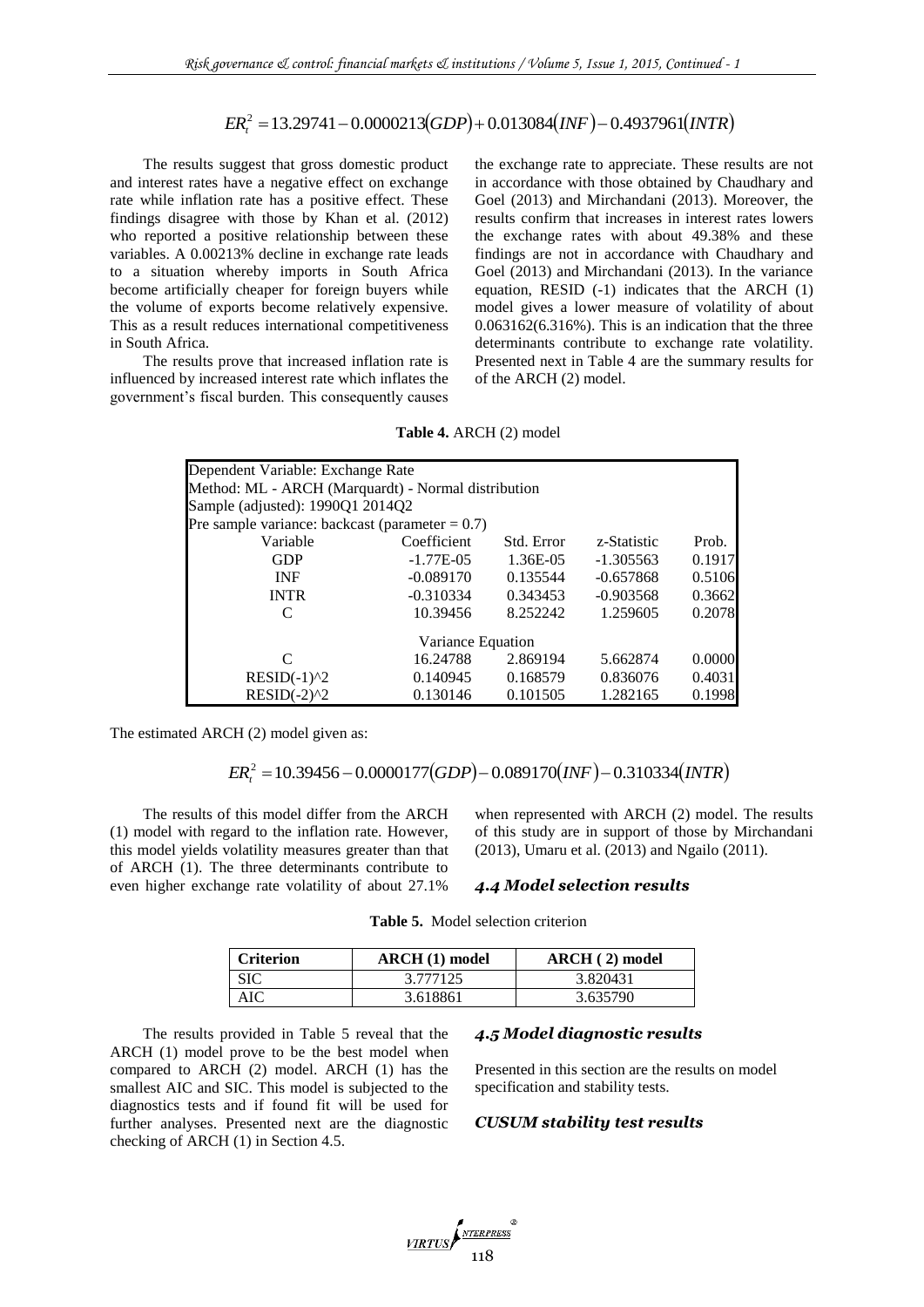$ER_1^2 = 13.29741 - 0.0000213(GDP) + 0.013084(NF) - 0.4937961(NTR)$ 

The results suggest that gross domestic product and interest rates have a negative effect on exchange rate while inflation rate has a positive effect. These findings disagree with those by Khan et al. (2012) who reported a positive relationship between these variables. A 0.00213% decline in exchange rate leads to a situation whereby imports in South Africa become artificially cheaper for foreign buyers while the volume of exports become relatively expensive. This as a result reduces international competitiveness in South Africa.

The results prove that increased inflation rate is influenced by increased interest rate which inflates the government's fiscal burden. This consequently causes

the exchange rate to appreciate. These results are not in accordance with those obtained by Chaudhary and Goel (2013) and Mirchandani (2013). Moreover, the results confirm that increases in interest rates lowers the exchange rates with about 49.38% and these findings are not in accordance with Chaudhary and Goel (2013) and Mirchandani (2013). In the variance equation, RESID (-1) indicates that the ARCH (1) model gives a lower measure of volatility of about 0.063162(6.316%). This is an indication that the three determinants contribute to exchange rate volatility. Presented next in Table 4 are the summary results for of the ARCH (2) model.

**Table 4.** ARCH (2) model

| $ER_t^2 = 13.29741 - 0.0000213(GDP) + 0.013084(NF) - 0.4937961(NTR)$                                                                                                                                                                                                                                                                                                                                                                                                                                                                                                                                                       |                                                                                                          |                         |                                                                                                |                                                                                                                                                                                                                                                                                                                                                                                                                                                                                                                                              |                                                                             |
|----------------------------------------------------------------------------------------------------------------------------------------------------------------------------------------------------------------------------------------------------------------------------------------------------------------------------------------------------------------------------------------------------------------------------------------------------------------------------------------------------------------------------------------------------------------------------------------------------------------------------|----------------------------------------------------------------------------------------------------------|-------------------------|------------------------------------------------------------------------------------------------|----------------------------------------------------------------------------------------------------------------------------------------------------------------------------------------------------------------------------------------------------------------------------------------------------------------------------------------------------------------------------------------------------------------------------------------------------------------------------------------------------------------------------------------------|-----------------------------------------------------------------------------|
| esults suggest that gross domestic product<br>t rates have a negative effect on exchange<br>inflation rate has a positive effect. These<br>sagree with those by Khan et al. (2012)<br>ted a positive relationship between these<br>A 0.00213% decline in exchange rate leads<br>tion whereby imports in South Africa<br>tificially cheaper for foreign buyers while<br>e of exports become relatively expensive.<br>esult reduces international competitiveness<br>frica.<br>esults prove that increased inflation rate is<br>by increased interest rate which inflates the<br>t's fiscal burden. This consequently causes |                                                                                                          |                         | of the ARCH (2) model.                                                                         | the exchange rate to appreciate. These res<br>in accordance with those obtained by Cha<br>Goel (2013) and Mirchandani (2013). Mo<br>results confirm that increases in interest a<br>the exchange rates with about 49.38%<br>findings are not in accordance with Cha<br>Goel (2013) and Mirchandani (2013). In t<br>equation, RESID (-1) indicates that the<br>model gives a lower measure of volatili<br>0.063162(6.316%). This is an indication th<br>determinants contribute to exchange rate<br>Presented next in Table 4 are the summary |                                                                             |
|                                                                                                                                                                                                                                                                                                                                                                                                                                                                                                                                                                                                                            | Table 4. ARCH (2) model                                                                                  |                         |                                                                                                |                                                                                                                                                                                                                                                                                                                                                                                                                                                                                                                                              |                                                                             |
| Dependent Variable: Exchange Rate<br>Method: ML - ARCH (Marquardt) - Normal distribution<br>Sample (adjusted): 1990Q1 2014Q2<br>Pre sample variance: backcast (parameter = $0.7$ )<br>Variable<br><b>GDP</b><br><b>INF</b><br><b>INTR</b><br>$\mathcal{C}$<br>$\mathbf C$<br>$RESID(-1)^2$<br>$RESID(-2)^2$<br>ted ARCH (2) model given as:<br>$ER_r^2 = 10.39456 - 0.0000177(GDP) - 0.089170(INF) - 0.310334(INTR)$<br>esults of this model differ from the ARCH<br>with regard to the inflation rate. However,<br>yields volatility measures greater than that<br>(1). The three determinants contribute to              | Coefficient<br>$-1.77E-05$<br>$-0.089170$<br>$-0.310334$<br>10.39456<br>16.24788<br>0.140945<br>0.130146 | Variance Equation       | Std. Error<br>1.36E-05<br>0.135544<br>0.343453<br>8.252242<br>2.869194<br>0.168579<br>0.101505 | z-Statistic<br>$-1.305563$<br>$-0.657868$<br>$-0.903568$<br>1.259605<br>5.662874<br>0.836076<br>1.282165<br>when represented with ARCH (2) model.<br>of this study are in support of those by N<br>(2013), Umaru et al. (2013) and Ngailo (20                                                                                                                                                                                                                                                                                                | Prob.<br>0.1917<br>0.5106<br>0.3662<br>0.2078<br>0.0000<br>0.4031<br>0.1998 |
| r exchange rate volatility of about 27.1%                                                                                                                                                                                                                                                                                                                                                                                                                                                                                                                                                                                  |                                                                                                          |                         |                                                                                                | 4.4 Model selection results                                                                                                                                                                                                                                                                                                                                                                                                                                                                                                                  |                                                                             |
|                                                                                                                                                                                                                                                                                                                                                                                                                                                                                                                                                                                                                            | <b>Table 5.</b> Model selection criterion                                                                |                         |                                                                                                |                                                                                                                                                                                                                                                                                                                                                                                                                                                                                                                                              |                                                                             |
| <b>Criterion</b>                                                                                                                                                                                                                                                                                                                                                                                                                                                                                                                                                                                                           | <b>ARCH</b> (1) model                                                                                    |                         |                                                                                                | ARCH (2) model                                                                                                                                                                                                                                                                                                                                                                                                                                                                                                                               |                                                                             |
| <b>SIC</b>                                                                                                                                                                                                                                                                                                                                                                                                                                                                                                                                                                                                                 | 3.777125                                                                                                 |                         |                                                                                                | 3.820431                                                                                                                                                                                                                                                                                                                                                                                                                                                                                                                                     |                                                                             |
| AIC<br>esults provided in Table 5 reveal that the<br>model prove to be the best model when<br>to ARCH (2) model. ARCH (1) has the<br>IC and SIC. This model is subjected to the<br>tests and if found fit will be used for<br>alyses. Presented next are the diagnostic<br>f ARCH (1) in Section 4.5.                                                                                                                                                                                                                                                                                                                      | 3.618861                                                                                                 |                         |                                                                                                | 3.635790<br>4.5 Model diagnostic results<br>Presented in this section are the results on<br>specification and stability tests.<br><b>CUSUM</b> stability test results                                                                                                                                                                                                                                                                                                                                                                        |                                                                             |
|                                                                                                                                                                                                                                                                                                                                                                                                                                                                                                                                                                                                                            | <b>VIRTUS</b>                                                                                            | <b>NTERPRESS</b><br>118 |                                                                                                |                                                                                                                                                                                                                                                                                                                                                                                                                                                                                                                                              |                                                                             |

The estimated ARCH (2) model given as:

The results of this model differ from the ARCH (1) model with regard to the inflation rate. However, this model yields volatility measures greater than that of ARCH (1). The three determinants contribute to even higher exchange rate volatility of about 27.1%

when represented with ARCH (2) model. The results of this study are in support of those by Mirchandani (2013), Umaru et al. (2013) and Ngailo (2011).

#### *4.4 Model selection results*

| <b>Criterion</b> | ARCH (1) model | $\bf{ARCH}$ (2) model |
|------------------|----------------|-----------------------|
| <b>SIC</b>       | 3.777125       | 3.820431              |
| AIC              | 3.618861       | 3.635790              |

The results provided in Table 5 reveal that the ARCH (1) model prove to be the best model when compared to ARCH (2) model. ARCH (1) has the smallest AIC and SIC. This model is subjected to the diagnostics tests and if found fit will be used for further analyses. Presented next are the diagnostic checking of ARCH (1) in Section 4.5.

#### *4.5 Model diagnostic results*

Presented in this section are the results on model specification and stability tests.

### *CUSUM stability test results*

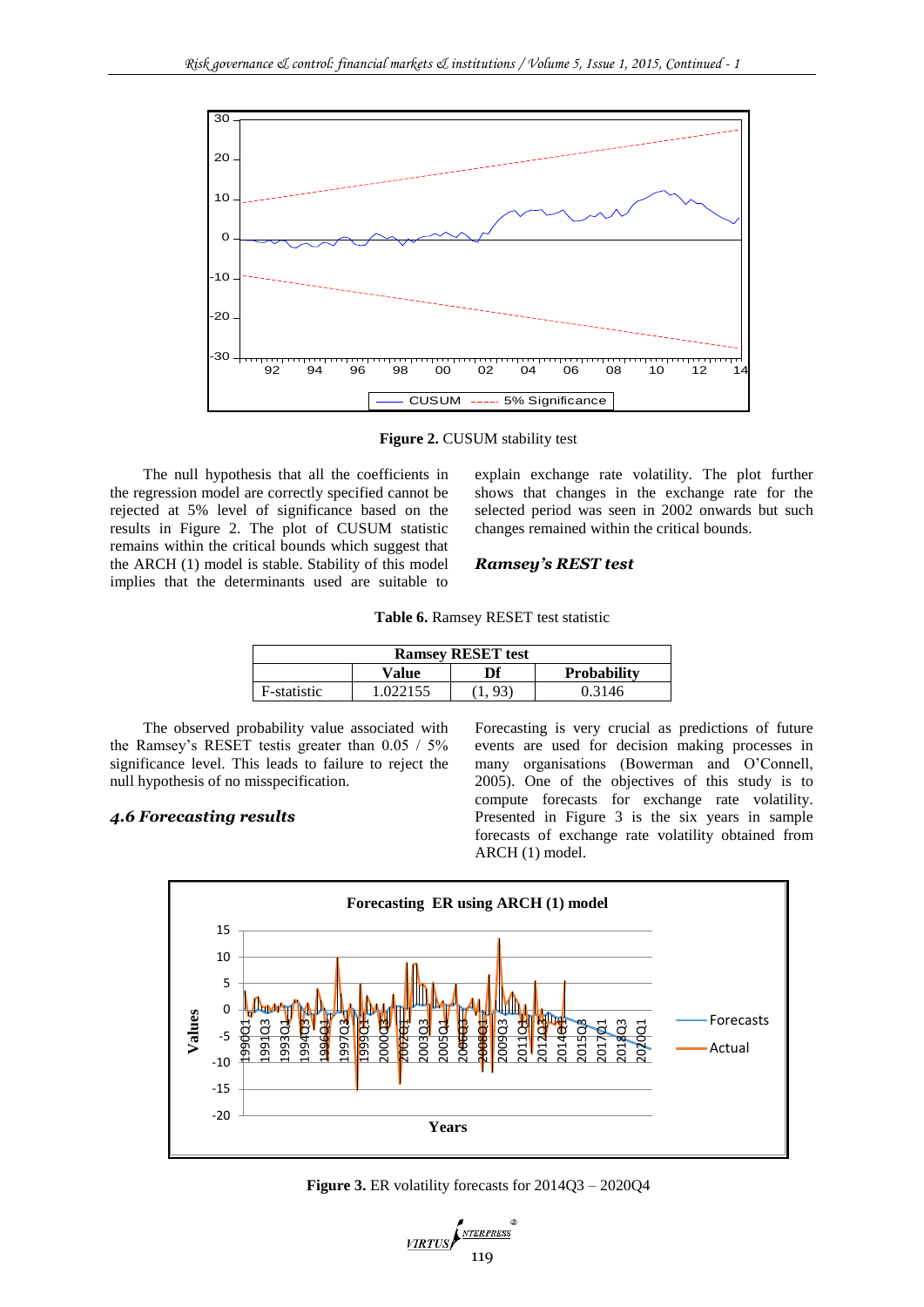

**Figure 2.** CUSUM stability test

The null hypothesis that all the coefficients in the regression model are correctly specified cannot be rejected at 5% level of significance based on the results in Figure 2. The plot of CUSUM statistic remains within the critical bounds which suggest that the ARCH (1) model is stable. Stability of this model implies that the determinants used are suitable to

explain exchange rate volatility. The plot further shows that changes in the exchange rate for the selected period was seen in 2002 onwards but such changes remained within the critical bounds.

### *Ramsey's REST test*

|  | Table 6. Ramsey RESET test statistic |  |  |  |
|--|--------------------------------------|--|--|--|
|--|--------------------------------------|--|--|--|

| <b>Ramsey RESET test</b> |          |    |                    |  |  |
|--------------------------|----------|----|--------------------|--|--|
|                          | Value    | Df | <b>Probability</b> |  |  |
| F-statistic              | 1.022155 |    | 0.3146             |  |  |

The observed probability value associated with the Ramsey's RESET testis greater than 0.05 / 5% significance level. This leads to failure to reject the null hypothesis of no misspecification.

# *4.6 Forecasting results*

Forecasting is very crucial as predictions of future events are used for decision making processes in many organisations (Bowerman and O'Connell, 2005). One of the objectives of this study is to compute forecasts for exchange rate volatility. Presented in Figure 3 is the six years in sample forecasts of exchange rate volatility obtained from ARCH (1) model.



**Figure 3.** ER volatility forecasts for 2014Q3 – 2020Q4

VIRTUS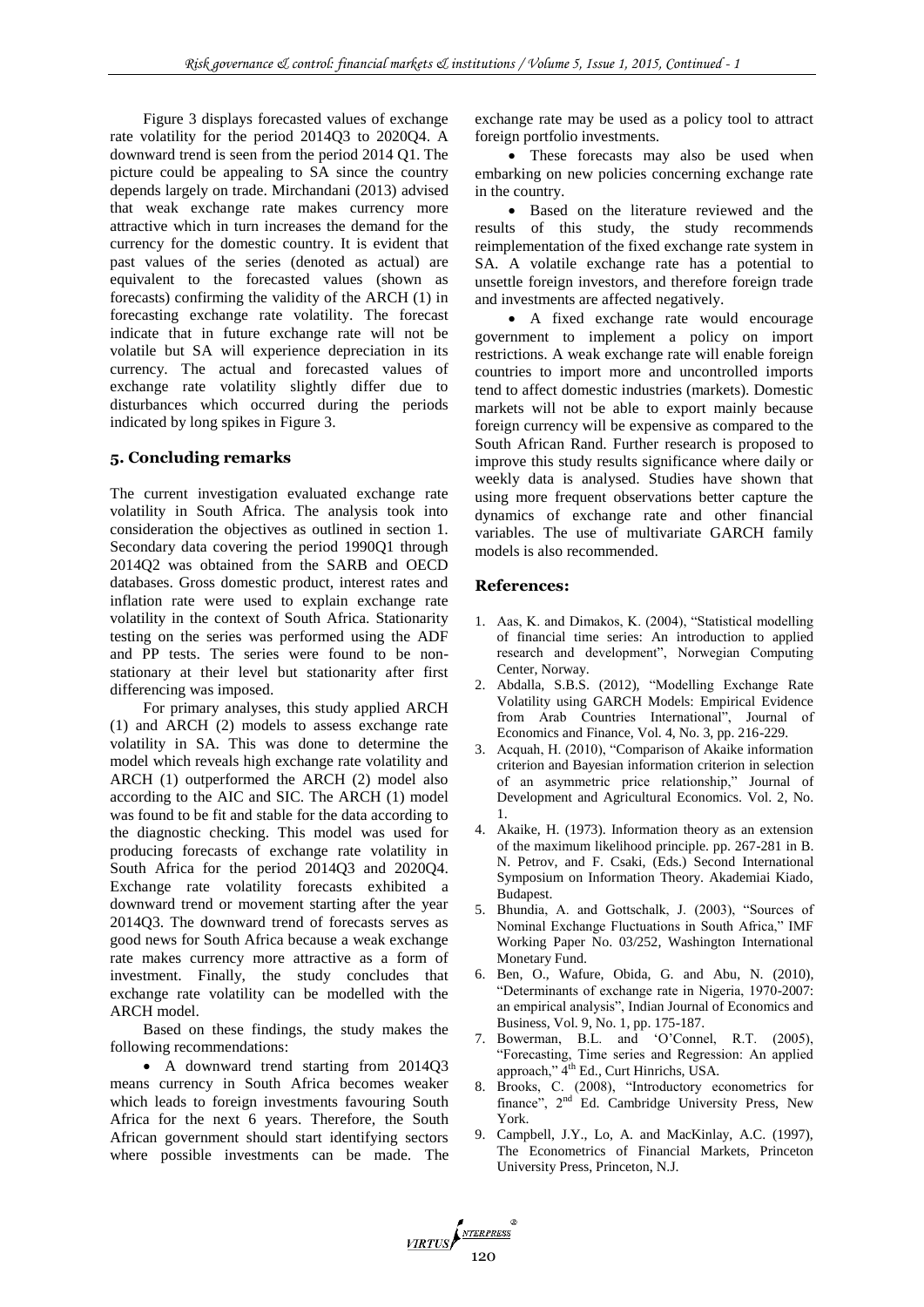Figure 3 displays forecasted values of exchange rate volatility for the period 2014Q3 to 2020Q4. A downward trend is seen from the period 2014 Q1. The picture could be appealing to SA since the country depends largely on trade. Mirchandani (2013) advised that weak exchange rate makes currency more attractive which in turn increases the demand for the currency for the domestic country. It is evident that past values of the series (denoted as actual) are equivalent to the forecasted values (shown as forecasts) confirming the validity of the ARCH (1) in forecasting exchange rate volatility. The forecast indicate that in future exchange rate will not be volatile but SA will experience depreciation in its currency. The actual and forecasted values of exchange rate volatility slightly differ due to disturbances which occurred during the periods indicated by long spikes in Figure 3.

# **5. Concluding remarks**

The current investigation evaluated exchange rate volatility in South Africa. The analysis took into consideration the objectives as outlined in section 1. Secondary data covering the period 1990Q1 through 2014Q2 was obtained from the SARB and OECD databases. Gross domestic product, interest rates and inflation rate were used to explain exchange rate volatility in the context of South Africa. Stationarity testing on the series was performed using the ADF and PP tests. The series were found to be nonstationary at their level but stationarity after first differencing was imposed.

For primary analyses, this study applied ARCH (1) and ARCH (2) models to assess exchange rate volatility in SA. This was done to determine the model which reveals high exchange rate volatility and ARCH (1) outperformed the ARCH (2) model also according to the AIC and SIC. The ARCH (1) model was found to be fit and stable for the data according to the diagnostic checking. This model was used for producing forecasts of exchange rate volatility in South Africa for the period 2014Q3 and 2020Q4. Exchange rate volatility forecasts exhibited a downward trend or movement starting after the year 2014Q3. The downward trend of forecasts serves as good news for South Africa because a weak exchange rate makes currency more attractive as a form of investment. Finally, the study concludes that exchange rate volatility can be modelled with the ARCH model.

Based on these findings, the study makes the following recommendations:

 A downward trend starting from 2014Q3 means currency in South Africa becomes weaker which leads to foreign investments favouring South Africa for the next 6 years. Therefore, the South African government should start identifying sectors where possible investments can be made. The exchange rate may be used as a policy tool to attract foreign portfolio investments.

• These forecasts may also be used when embarking on new policies concerning exchange rate in the country.

 Based on the literature reviewed and the results of this study, the study recommends reimplementation of the fixed exchange rate system in SA. A volatile exchange rate has a potential to unsettle foreign investors, and therefore foreign trade and investments are affected negatively.

 A fixed exchange rate would encourage government to implement a policy on import restrictions. A weak exchange rate will enable foreign countries to import more and uncontrolled imports tend to affect domestic industries (markets). Domestic markets will not be able to export mainly because foreign currency will be expensive as compared to the South African Rand. Further research is proposed to improve this study results significance where daily or weekly data is analysed. Studies have shown that using more frequent observations better capture the dynamics of exchange rate and other financial variables. The use of multivariate GARCH family models is also recommended.

#### **References:**

VIRTUS

- 1. Aas, K. and Dimakos, K. (2004), "Statistical modelling of financial time series: An introduction to applied research and development", Norwegian Computing Center, Norway.
- 2. Abdalla, S.B.S. (2012), "Modelling Exchange Rate Volatility using GARCH Models: Empirical Evidence from Arab Countries International", Journal of Economics and Finance, Vol. 4, No. 3, pp. 216-229.
- 3. Acquah, H. (2010), "Comparison of Akaike information criterion and Bayesian information criterion in selection of an asymmetric price relationship," Journal of Development and Agricultural Economics. Vol. 2, No. 1.
- 4. Akaike, H. (1973). Information theory as an extension of the maximum likelihood principle. pp. 267-281 in B. N. Petrov, and F. Csaki, (Eds.) Second International Symposium on Information Theory. Akademiai Kiado, Budapest.
- 5. Bhundia, A. and Gottschalk, J. (2003), "Sources of Nominal Exchange Fluctuations in South Africa," IMF Working Paper No. 03/252, Washington International Monetary Fund.
- 6. Ben, O., Wafure, Obida, G. and Abu, N. (2010), "Determinants of exchange rate in Nigeria, 1970-2007: an empirical analysis", [Indian Journal of Economics and](http://www.thefreelibrary.com/Indian+Journal+of+Economics+and+Business/2010/March/1-p51650)  [Business,](http://www.thefreelibrary.com/Indian+Journal+of+Economics+and+Business/2010/March/1-p51650) Vol. 9, No. 1, pp. 175-187.
- 7. Bowerman, B.L. and 'O'Connel, R.T. (2005), "Forecasting, Time series and Regression: An applied approach," 4<sup>th</sup> Ed., Curt Hinrichs, USA.
- 8. Brooks, C. (2008), "Introductory econometrics for finance", 2<sup>nd</sup> Ed. Cambridge University Press, New York.
- 9. Campbell, J.Y., Lo, A. and MacKinlay, A.C. (1997), The Econometrics of Financial Markets, Princeton University Press, Princeton, N.J.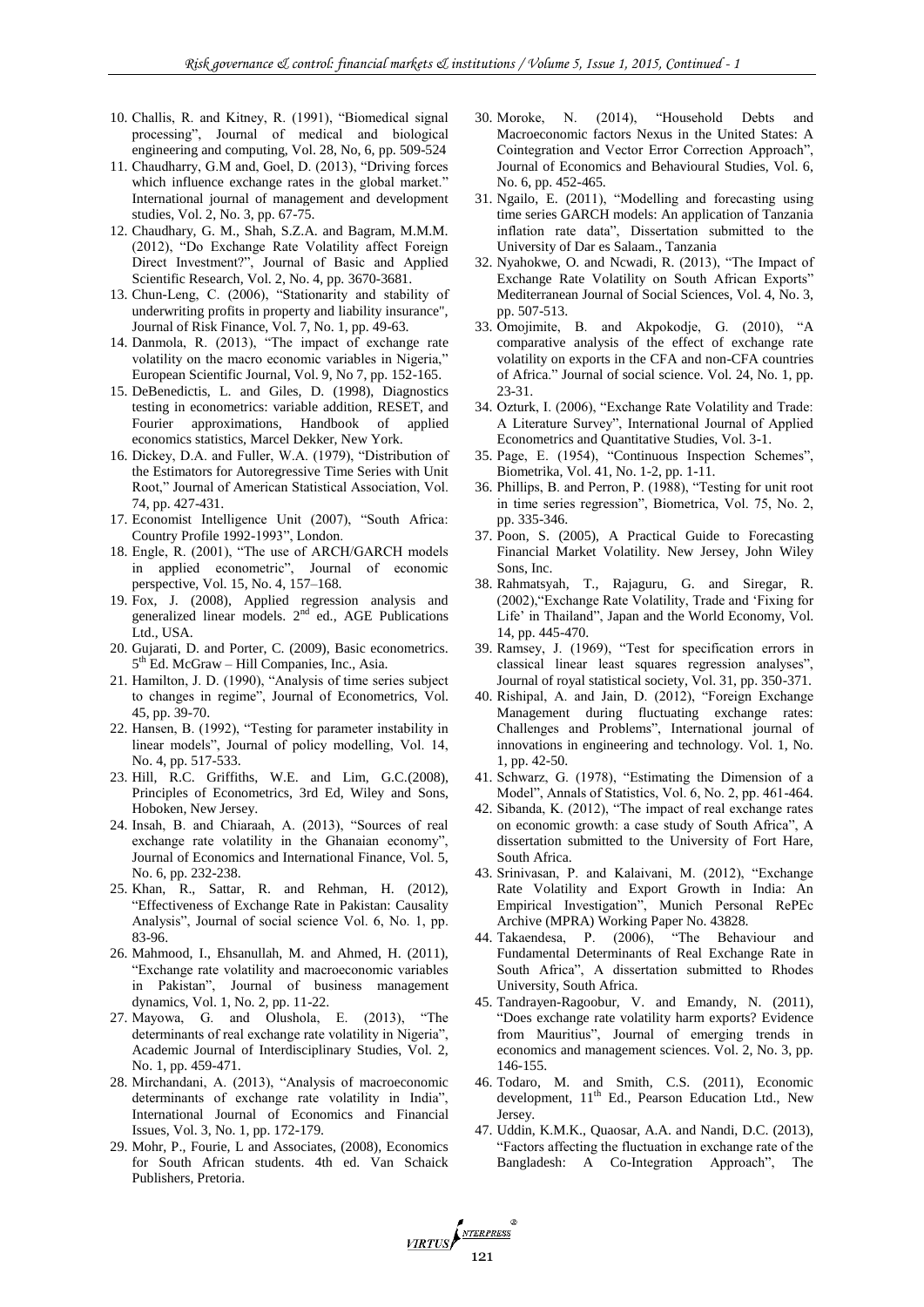- 10. Challis, R. and Kitney, R. (1991), "Biomedical signal processing", Journal of medical and biological engineering and computing, Vol. 28, No, 6, pp. 509-524
- 11. Chaudharry, G.M and, Goel, D. (2013), "Driving forces which influence exchange rates in the global market." International journal of management and development studies, Vol. 2, No. 3, pp. 67-75.
- 12. Chaudhary, G. M., Shah, S.Z.A. and Bagram, M.M.M. (2012), "Do Exchange Rate Volatility affect Foreign Direct Investment?", Journal of Basic and Applied Scientific Research, Vol. 2, No. 4, pp. 3670-3681.
- 13. Chun-Leng, C. (2006), "Stationarity and stability of underwriting profits in property and liability insurance", Journal of Risk Finance, Vol. 7, No. 1, pp. 49-63.
- 14. Danmola, R. (2013), "The impact of exchange rate volatility on the macro economic variables in Nigeria," European Scientific Journal, Vol. 9, No 7, pp. 152-165.
- 15. DeBenedictis, L. and Giles, D. (1998), Diagnostics testing in econometrics: variable addition, RESET, and Fourier approximations, Handbook of applied economics statistics, Marcel Dekker, New York.
- 16. Dickey, D.A. and Fuller, W.A. (1979), "Distribution of the Estimators for Autoregressive Time Series with Unit Root," Journal of American Statistical Association, Vol. 74, pp. 427-431.
- 17. Economist Intelligence Unit (2007), "South Africa: Country Profile 1992-1993", London.
- 18. Engle, R. (2001), "The use of ARCH/GARCH models in applied econometric", Journal of economic perspective, Vol. 15, No. 4, 157–168.
- 19. Fox, J. (2008), Applied regression analysis and generalized linear models.  $2<sup>nd</sup>$  ed., AGE Publications Ltd., USA.
- 20. Gujarati, D. and Porter, C. (2009), Basic econometrics. 5<sup>th</sup> Ed. McGraw – Hill Companies, Inc., Asia.
- 21. Hamilton, J. D. (1990), "Analysis of time series subject to changes in regime", Journal of Econometrics, Vol. 45, pp. 39-70.
- 22. Hansen, B. (1992), "Testing for parameter instability in linear models", Journal of policy modelling, Vol. 14, No. 4, pp. 517-533.
- 23. Hill, R.C. Griffiths, W.E. and Lim, G.C.(2008), Principles of Econometrics, 3rd Ed, Wiley and Sons, Hoboken, New Jersey.
- 24. Insah, B. and Chiaraah, A. (2013), "Sources of real exchange rate volatility in the Ghanaian economy", Journal of Economics and International Finance, Vol. 5, No. 6, pp. 232-238.
- 25. Khan, R., Sattar, R. and Rehman, H. (2012), "Effectiveness of Exchange Rate in Pakistan: Causality Analysis", Journal of social science Vol. 6, No. 1, pp. 83-96.
- 26. Mahmood, I., Ehsanullah, M. and Ahmed, H. (2011), "Exchange rate volatility and macroeconomic variables in Pakistan", Journal of business management dynamics, Vol. 1, No. 2, pp. 11-22.
- 27. Mayowa, G. and Olushola, E. (2013), "The determinants of real exchange rate volatility in Nigeria", Academic Journal of Interdisciplinary Studies, Vol. 2, No. 1, pp. 459-471.
- 28. Mirchandani, A. (2013), "Analysis of macroeconomic determinants of exchange rate volatility in India", International Journal of Economics and Financial Issues, Vol. 3, No. 1, pp. 172-179.
- 29. Mohr, P., Fourie, L and Associates, (2008), Economics for South African students. 4th ed. Van Schaick Publishers, Pretoria.
- 30. Moroke, N. (2014), "Household Debts and Macroeconomic factors Nexus in the United States: A Cointegration and Vector Error Correction Approach", Journal of Economics and Behavioural Studies, Vol. 6, No. 6, pp. 452-465.
- 31. Ngailo, E. (2011), "Modelling and forecasting using time series GARCH models: An application of Tanzania inflation rate data", Dissertation submitted to the University of Dar es Salaam., Tanzania
- 32. Nyahokwe, O. and Ncwadi, R. (2013), "The Impact of Exchange Rate Volatility on South African Exports" Mediterranean Journal of Social Sciences, Vol. 4, No. 3, pp. 507-513.
- 33. Omojimite, B. and Akpokodje, G. (2010), "A comparative analysis of the effect of exchange rate volatility on exports in the CFA and non-CFA countries of Africa." Journal of social science. Vol. 24, No. 1, pp. 23-31.
- 34. Ozturk, I. (2006), "Exchange Rate Volatility and Trade: A Literature Survey", International Journal of Applied Econometrics and Quantitative Studies, Vol. 3-1.
- 35. Page, E. (1954), "Continuous Inspection Schemes", Biometrika, Vol. 41, No. 1-2, pp. 1-11.
- 36. Phillips, B. and Perron, P. (1988), "Testing for unit root in time series regression", Biometrica, Vol. 75, No. 2, pp. 335-346.
- 37. Poon, S. (2005), A Practical Guide to Forecasting Financial Market Volatility. New Jersey, John Wiley Sons, Inc.
- 38. Rahmatsyah, T., Rajaguru, G. and Siregar, R. (2002),"Exchange Rate Volatility, Trade and 'Fixing for Life' in Thailand", Japan and the World Economy, Vol. 14, pp. 445-470.
- 39. Ramsey, J. (1969), "Test for specification errors in classical linear least squares regression analyses", Journal of royal statistical society, Vol. 31, pp. 350-371.
- 40. Rishipal, A. and Jain, D. (2012), "Foreign Exchange Management during fluctuating exchange rates: Challenges and Problems", International journal of innovations in engineering and technology. Vol. 1, No. 1, pp. 42-50.
- 41. Schwarz, G. (1978), "Estimating the Dimension of a Model", Annals of Statistics, Vol. 6, No. 2, pp. 461-464.
- 42. Sibanda, K. (2012), "The impact of real exchange rates on economic growth: a case study of South Africa", A dissertation submitted to the University of Fort Hare, South Africa.
- 43. Srinivasan, P. and Kalaivani, M. (2012), "Exchange Rate Volatility and Export Growth in India: An Empirical Investigation", Munich Personal RePEc Archive (MPRA) Working Paper No. 43828.
- 44. Takaendesa, P. (2006), "The Behaviour and Fundamental Determinants of Real Exchange Rate in South Africa", A dissertation submitted to Rhodes University, South Africa.
- 45. Tandrayen-Ragoobur, V. and Emandy, N. (2011), "Does exchange rate volatility harm exports? Evidence from Mauritius", Journal of emerging trends in economics and management sciences. Vol. 2, No. 3, pp. 146-155.
- 46. Todaro, M. and Smith, C.S. (2011), Economic development, 11<sup>th</sup> Ed., Pearson Education Ltd., New Jersey.
- 47. Uddin, K.M.K., Quaosar, A.A. and Nandi, D.C. (2013), "Factors affecting the fluctuation in exchange rate of the Bangladesh: A Co-Integration Approach", The

VIRTUS